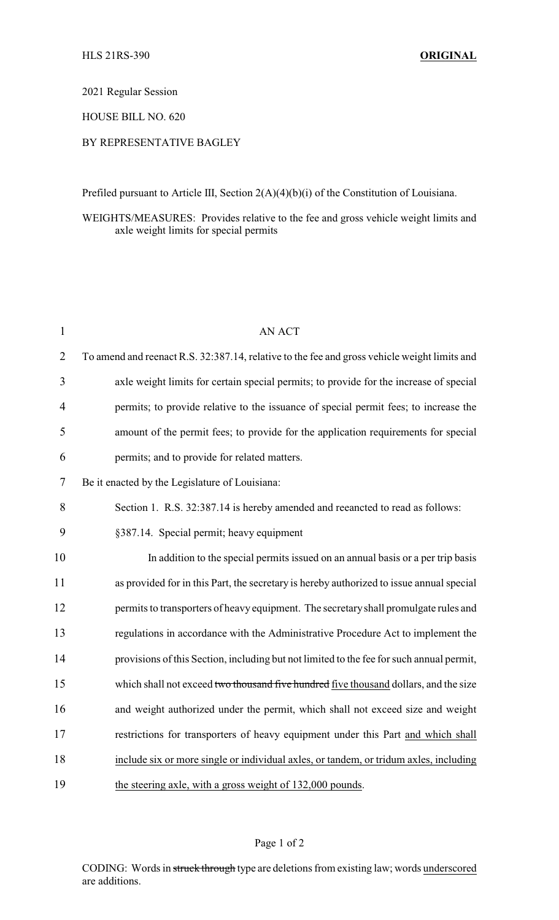2021 Regular Session

HOUSE BILL NO. 620

## BY REPRESENTATIVE BAGLEY

Prefiled pursuant to Article III, Section 2(A)(4)(b)(i) of the Constitution of Louisiana.

## WEIGHTS/MEASURES: Provides relative to the fee and gross vehicle weight limits and axle weight limits for special permits

| 1              | <b>AN ACT</b>                                                                                |
|----------------|----------------------------------------------------------------------------------------------|
| $\overline{2}$ | To amend and reenact R.S. 32:387.14, relative to the fee and gross vehicle weight limits and |
| 3              | axle weight limits for certain special permits; to provide for the increase of special       |
| $\overline{4}$ | permits; to provide relative to the issuance of special permit fees; to increase the         |
| 5              | amount of the permit fees; to provide for the application requirements for special           |
| 6              | permits; and to provide for related matters.                                                 |
| 7              | Be it enacted by the Legislature of Louisiana:                                               |
| 8              | Section 1. R.S. 32:387.14 is hereby amended and reeancted to read as follows:                |
| 9              | §387.14. Special permit; heavy equipment                                                     |
| 10             | In addition to the special permits issued on an annual basis or a per trip basis             |
| 11             | as provided for in this Part, the secretary is hereby authorized to issue annual special     |
| 12             | permits to transporters of heavy equipment. The secretary shall promulgate rules and         |
| 13             | regulations in accordance with the Administrative Procedure Act to implement the             |
| 14             | provisions of this Section, including but not limited to the fee for such annual permit,     |
| 15             | which shall not exceed two thousand five hundred five thousand dollars, and the size         |
| 16             | and weight authorized under the permit, which shall not exceed size and weight               |
| 17             | restrictions for transporters of heavy equipment under this Part and which shall             |
| 18             | include six or more single or individual axles, or tandem, or tridum axles, including        |
| 19             | the steering axle, with a gross weight of 132,000 pounds.                                    |

## Page 1 of 2

CODING: Words in struck through type are deletions from existing law; words underscored are additions.